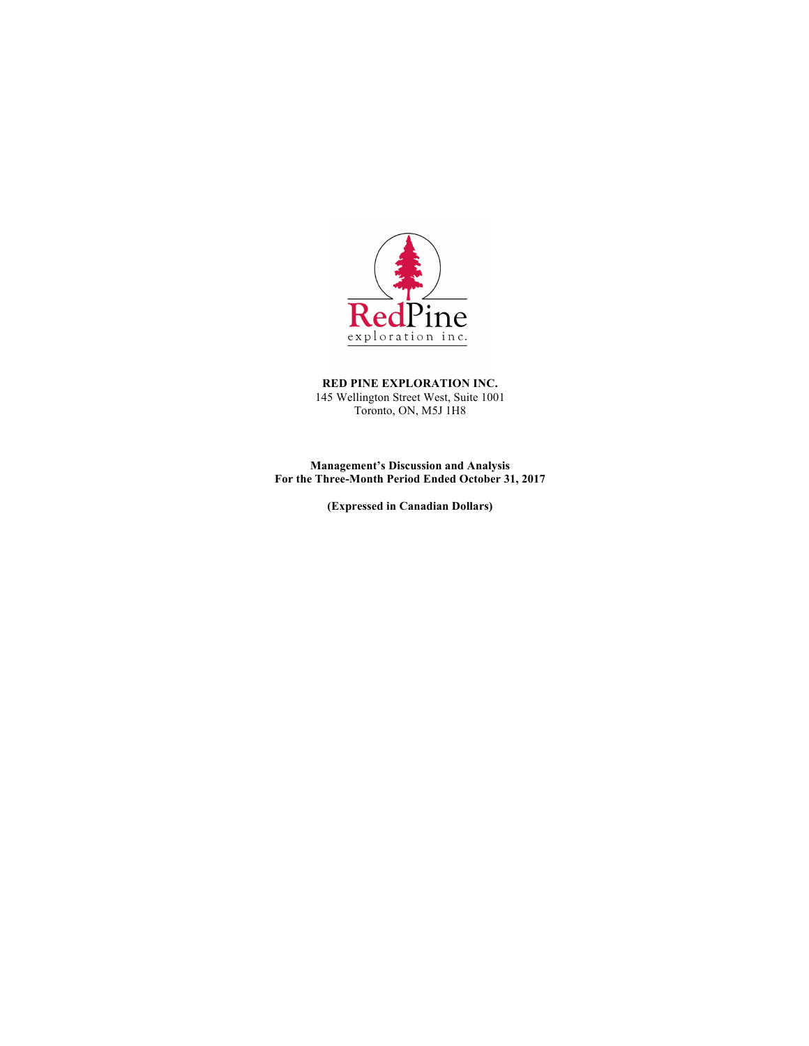

**RED PINE EXPLORATION INC.** 145 Wellington Street West, Suite 1001 Toronto, ON, M5J 1H8

**Management's Discussion and Analysis For the Three-Month Period Ended October 31, 2017**

**(Expressed in Canadian Dollars)**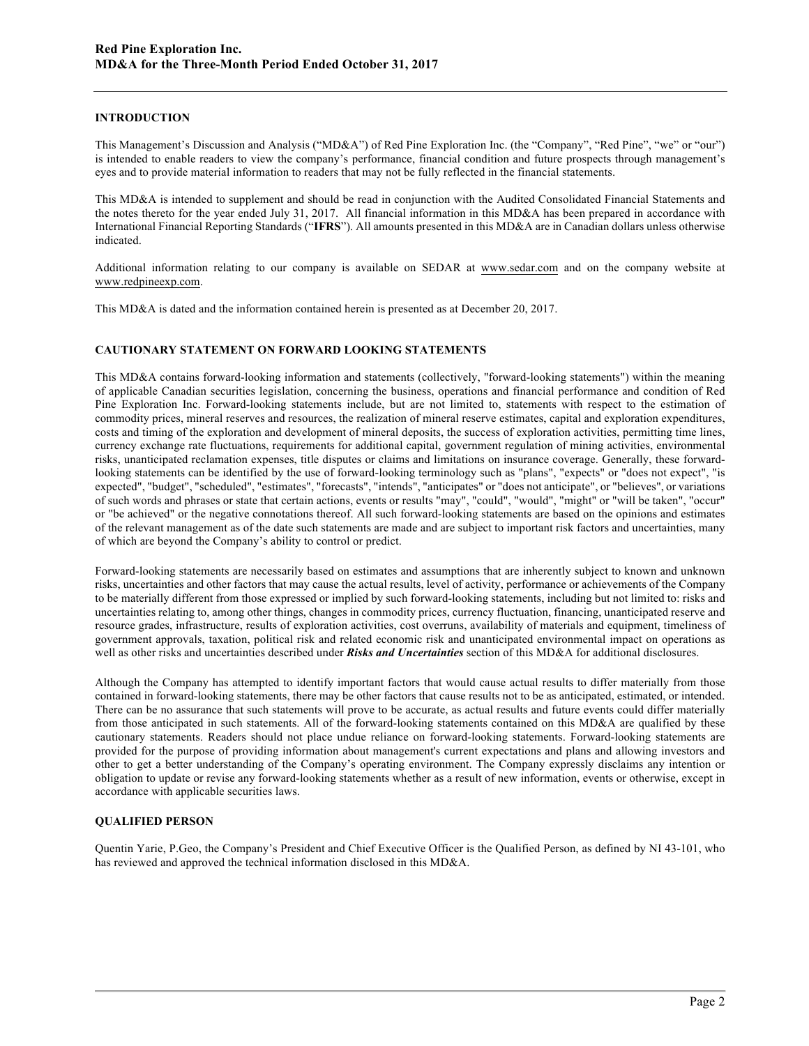## **INTRODUCTION**

This Management's Discussion and Analysis ("MD&A") of Red Pine Exploration Inc. (the "Company", "Red Pine", "we" or "our") is intended to enable readers to view the company's performance, financial condition and future prospects through management's eyes and to provide material information to readers that may not be fully reflected in the financial statements.

This MD&A is intended to supplement and should be read in conjunction with the Audited Consolidated Financial Statements and the notes thereto for the year ended July 31, 2017. All financial information in this MD&A has been prepared in accordance with International Financial Reporting Standards ("**IFRS**"). All amounts presented in this MD&A are in Canadian dollars unless otherwise indicated.

Additional information relating to our company is available on SEDAR at www.sedar.com and on the company website at www.redpineexp.com.

This MD&A is dated and the information contained herein is presented as at December 20, 2017.

## **CAUTIONARY STATEMENT ON FORWARD LOOKING STATEMENTS**

This MD&A contains forward-looking information and statements (collectively, "forward-looking statements") within the meaning of applicable Canadian securities legislation, concerning the business, operations and financial performance and condition of Red Pine Exploration Inc. Forward-looking statements include, but are not limited to, statements with respect to the estimation of commodity prices, mineral reserves and resources, the realization of mineral reserve estimates, capital and exploration expenditures, costs and timing of the exploration and development of mineral deposits, the success of exploration activities, permitting time lines, currency exchange rate fluctuations, requirements for additional capital, government regulation of mining activities, environmental risks, unanticipated reclamation expenses, title disputes or claims and limitations on insurance coverage. Generally, these forwardlooking statements can be identified by the use of forward-looking terminology such as "plans", "expects" or "does not expect", "is expected", "budget", "scheduled", "estimates", "forecasts", "intends", "anticipates" or "does not anticipate", or "believes", or variations of such words and phrases or state that certain actions, events or results "may", "could", "would", "might" or "will be taken", "occur" or "be achieved" or the negative connotations thereof. All such forward-looking statements are based on the opinions and estimates of the relevant management as of the date such statements are made and are subject to important risk factors and uncertainties, many of which are beyond the Company's ability to control or predict.

Forward-looking statements are necessarily based on estimates and assumptions that are inherently subject to known and unknown risks, uncertainties and other factors that may cause the actual results, level of activity, performance or achievements of the Company to be materially different from those expressed or implied by such forward-looking statements, including but not limited to: risks and uncertainties relating to, among other things, changes in commodity prices, currency fluctuation, financing, unanticipated reserve and resource grades, infrastructure, results of exploration activities, cost overruns, availability of materials and equipment, timeliness of government approvals, taxation, political risk and related economic risk and unanticipated environmental impact on operations as well as other risks and uncertainties described under *Risks and Uncertainties* section of this MD&A for additional disclosures.

Although the Company has attempted to identify important factors that would cause actual results to differ materially from those contained in forward-looking statements, there may be other factors that cause results not to be as anticipated, estimated, or intended. There can be no assurance that such statements will prove to be accurate, as actual results and future events could differ materially from those anticipated in such statements. All of the forward-looking statements contained on this MD&A are qualified by these cautionary statements. Readers should not place undue reliance on forward-looking statements. Forward-looking statements are provided for the purpose of providing information about management's current expectations and plans and allowing investors and other to get a better understanding of the Company's operating environment. The Company expressly disclaims any intention or obligation to update or revise any forward-looking statements whether as a result of new information, events or otherwise, except in accordance with applicable securities laws.

# **QUALIFIED PERSON**

Quentin Yarie, P.Geo, the Company's President and Chief Executive Officer is the Qualified Person, as defined by NI 43-101, who has reviewed and approved the technical information disclosed in this MD&A.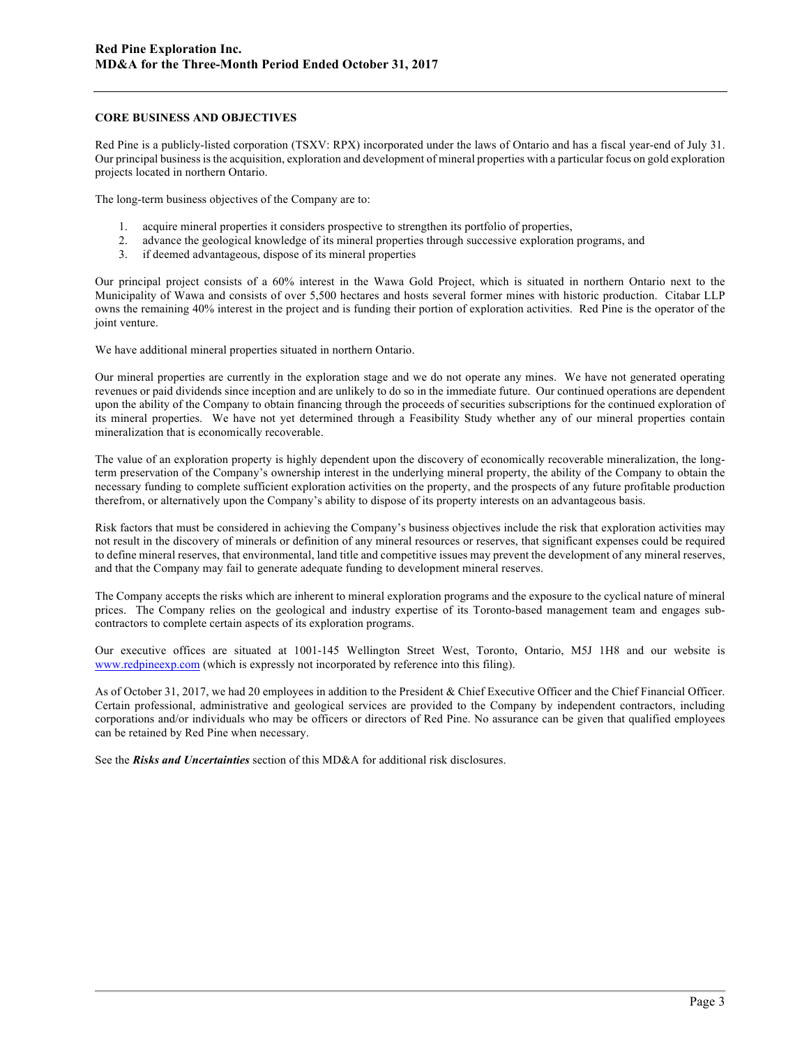#### **CORE BUSINESS AND OBJECTIVES**

Red Pine is a publicly-listed corporation (TSXV: RPX) incorporated under the laws of Ontario and has a fiscal year-end of July 31. Our principal business is the acquisition, exploration and development of mineral properties with a particular focus on gold exploration projects located in northern Ontario.

The long-term business objectives of the Company are to:

- 1. acquire mineral properties it considers prospective to strengthen its portfolio of properties,
- 2. advance the geological knowledge of its mineral properties through successive exploration programs, and
- 3. if deemed advantageous, dispose of its mineral properties

Our principal project consists of a 60% interest in the Wawa Gold Project, which is situated in northern Ontario next to the Municipality of Wawa and consists of over 5,500 hectares and hosts several former mines with historic production. Citabar LLP owns the remaining 40% interest in the project and is funding their portion of exploration activities. Red Pine is the operator of the joint venture.

We have additional mineral properties situated in northern Ontario.

Our mineral properties are currently in the exploration stage and we do not operate any mines. We have not generated operating revenues or paid dividends since inception and are unlikely to do so in the immediate future. Our continued operations are dependent upon the ability of the Company to obtain financing through the proceeds of securities subscriptions for the continued exploration of its mineral properties. We have not yet determined through a Feasibility Study whether any of our mineral properties contain mineralization that is economically recoverable.

The value of an exploration property is highly dependent upon the discovery of economically recoverable mineralization, the longterm preservation of the Company's ownership interest in the underlying mineral property, the ability of the Company to obtain the necessary funding to complete sufficient exploration activities on the property, and the prospects of any future profitable production therefrom, or alternatively upon the Company's ability to dispose of its property interests on an advantageous basis.

Risk factors that must be considered in achieving the Company's business objectives include the risk that exploration activities may not result in the discovery of minerals or definition of any mineral resources or reserves, that significant expenses could be required to define mineral reserves, that environmental, land title and competitive issues may prevent the development of any mineral reserves, and that the Company may fail to generate adequate funding to development mineral reserves.

The Company accepts the risks which are inherent to mineral exploration programs and the exposure to the cyclical nature of mineral prices. The Company relies on the geological and industry expertise of its Toronto-based management team and engages subcontractors to complete certain aspects of its exploration programs.

Our executive offices are situated at 1001-145 Wellington Street West, Toronto, Ontario, M5J 1H8 and our website is www.redpineexp.com (which is expressly not incorporated by reference into this filing).

As of October 31, 2017, we had 20 employees in addition to the President & Chief Executive Officer and the Chief Financial Officer. Certain professional, administrative and geological services are provided to the Company by independent contractors, including corporations and/or individuals who may be officers or directors of Red Pine. No assurance can be given that qualified employees can be retained by Red Pine when necessary.

See the *Risks and Uncertainties* section of this MD&A for additional risk disclosures.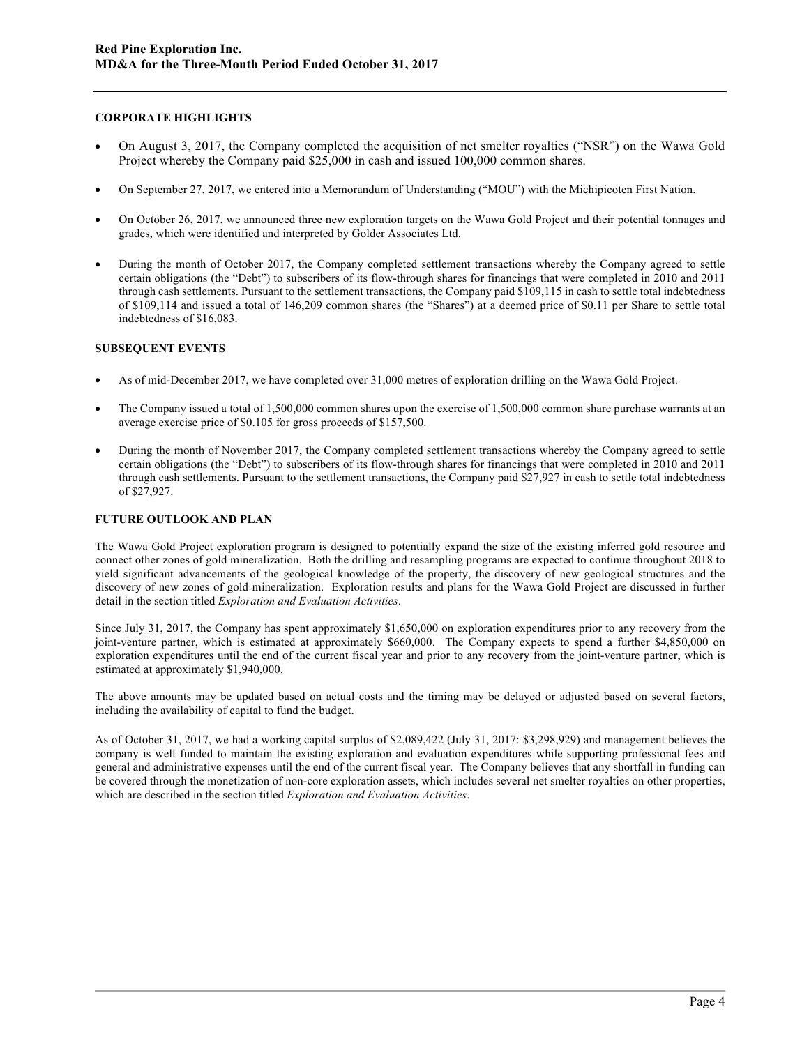## **CORPORATE HIGHLIGHTS**

- On August 3, 2017, the Company completed the acquisition of net smelter royalties ("NSR") on the Wawa Gold Project whereby the Company paid \$25,000 in cash and issued 100,000 common shares.
- On September 27, 2017, we entered into a Memorandum of Understanding ("MOU") with the Michipicoten First Nation.
- On October 26, 2017, we announced three new exploration targets on the Wawa Gold Project and their potential tonnages and grades, which were identified and interpreted by Golder Associates Ltd.
- During the month of October 2017, the Company completed settlement transactions whereby the Company agreed to settle certain obligations (the "Debt") to subscribers of its flow-through shares for financings that were completed in 2010 and 2011 through cash settlements. Pursuant to the settlement transactions, the Company paid \$109,115 in cash to settle total indebtedness of \$109,114 and issued a total of 146,209 common shares (the "Shares") at a deemed price of \$0.11 per Share to settle total indebtedness of \$16,083.

## **SUBSEQUENT EVENTS**

- As of mid-December 2017, we have completed over 31,000 metres of exploration drilling on the Wawa Gold Project.
- The Company issued a total of 1,500,000 common shares upon the exercise of 1,500,000 common share purchase warrants at an average exercise price of \$0.105 for gross proceeds of \$157,500.
- During the month of November 2017, the Company completed settlement transactions whereby the Company agreed to settle certain obligations (the "Debt") to subscribers of its flow-through shares for financings that were completed in 2010 and 2011 through cash settlements. Pursuant to the settlement transactions, the Company paid \$27,927 in cash to settle total indebtedness of \$27,927.

# **FUTURE OUTLOOK AND PLAN**

The Wawa Gold Project exploration program is designed to potentially expand the size of the existing inferred gold resource and connect other zones of gold mineralization. Both the drilling and resampling programs are expected to continue throughout 2018 to yield significant advancements of the geological knowledge of the property, the discovery of new geological structures and the discovery of new zones of gold mineralization. Exploration results and plans for the Wawa Gold Project are discussed in further detail in the section titled *Exploration and Evaluation Activities*.

Since July 31, 2017, the Company has spent approximately \$1,650,000 on exploration expenditures prior to any recovery from the joint-venture partner, which is estimated at approximately \$660,000. The Company expects to spend a further \$4,850,000 on exploration expenditures until the end of the current fiscal year and prior to any recovery from the joint-venture partner, which is estimated at approximately \$1,940,000.

The above amounts may be updated based on actual costs and the timing may be delayed or adjusted based on several factors, including the availability of capital to fund the budget.

As of October 31, 2017, we had a working capital surplus of \$2,089,422 (July 31, 2017: \$3,298,929) and management believes the company is well funded to maintain the existing exploration and evaluation expenditures while supporting professional fees and general and administrative expenses until the end of the current fiscal year. The Company believes that any shortfall in funding can be covered through the monetization of non-core exploration assets, which includes several net smelter royalties on other properties, which are described in the section titled *Exploration and Evaluation Activities*.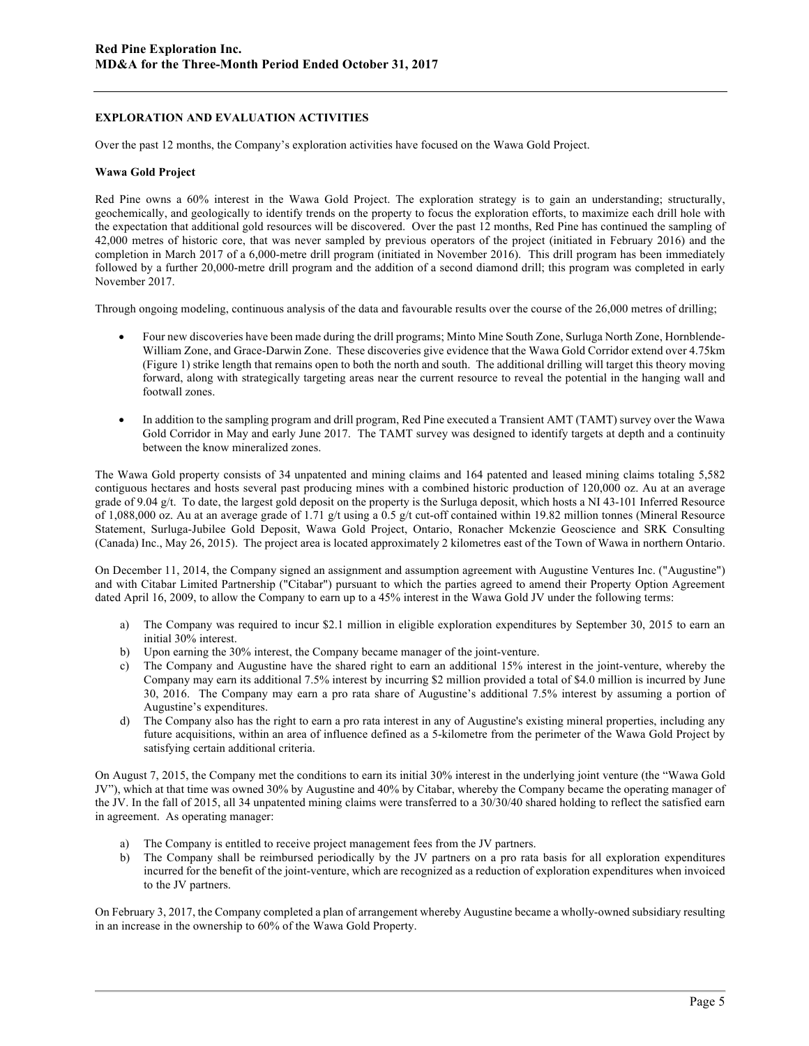## **EXPLORATION AND EVALUATION ACTIVITIES**

Over the past 12 months, the Company's exploration activities have focused on the Wawa Gold Project.

#### **Wawa Gold Project**

Red Pine owns a 60% interest in the Wawa Gold Project. The exploration strategy is to gain an understanding; structurally, geochemically, and geologically to identify trends on the property to focus the exploration efforts, to maximize each drill hole with the expectation that additional gold resources will be discovered. Over the past 12 months, Red Pine has continued the sampling of 42,000 metres of historic core, that was never sampled by previous operators of the project (initiated in February 2016) and the completion in March 2017 of a 6,000-metre drill program (initiated in November 2016). This drill program has been immediately followed by a further 20,000-metre drill program and the addition of a second diamond drill; this program was completed in early November 2017.

Through ongoing modeling, continuous analysis of the data and favourable results over the course of the 26,000 metres of drilling;

- Four new discoveries have been made during the drill programs; Minto Mine South Zone, Surluga North Zone, Hornblende-William Zone, and Grace-Darwin Zone. These discoveries give evidence that the Wawa Gold Corridor extend over 4.75km (Figure 1) strike length that remains open to both the north and south. The additional drilling will target this theory moving forward, along with strategically targeting areas near the current resource to reveal the potential in the hanging wall and footwall zones.
- In addition to the sampling program and drill program, Red Pine executed a Transient AMT (TAMT) survey over the Wawa Gold Corridor in May and early June 2017. The TAMT survey was designed to identify targets at depth and a continuity between the know mineralized zones.

The Wawa Gold property consists of 34 unpatented and mining claims and 164 patented and leased mining claims totaling 5,582 contiguous hectares and hosts several past producing mines with a combined historic production of 120,000 oz. Au at an average grade of 9.04 g/t. To date, the largest gold deposit on the property is the Surluga deposit, which hosts a NI 43-101 Inferred Resource of 1,088,000 oz. Au at an average grade of 1.71 g/t using a 0.5 g/t cut-off contained within 19.82 million tonnes (Mineral Resource Statement, Surluga-Jubilee Gold Deposit, Wawa Gold Project, Ontario, Ronacher Mckenzie Geoscience and SRK Consulting (Canada) Inc., May 26, 2015). The project area is located approximately 2 kilometres east of the Town of Wawa in northern Ontario.

On December 11, 2014, the Company signed an assignment and assumption agreement with Augustine Ventures Inc. ("Augustine") and with Citabar Limited Partnership ("Citabar") pursuant to which the parties agreed to amend their Property Option Agreement dated April 16, 2009, to allow the Company to earn up to a 45% interest in the Wawa Gold JV under the following terms:

- a) The Company was required to incur \$2.1 million in eligible exploration expenditures by September 30, 2015 to earn an initial 30% interest.
- b) Upon earning the 30% interest, the Company became manager of the joint-venture.
- c) The Company and Augustine have the shared right to earn an additional 15% interest in the joint-venture, whereby the Company may earn its additional 7.5% interest by incurring \$2 million provided a total of \$4.0 million is incurred by June 30, 2016. The Company may earn a pro rata share of Augustine's additional 7.5% interest by assuming a portion of Augustine's expenditures.
- d) The Company also has the right to earn a pro rata interest in any of Augustine's existing mineral properties, including any future acquisitions, within an area of influence defined as a 5-kilometre from the perimeter of the Wawa Gold Project by satisfying certain additional criteria.

On August 7, 2015, the Company met the conditions to earn its initial 30% interest in the underlying joint venture (the "Wawa Gold JV"), which at that time was owned 30% by Augustine and 40% by Citabar, whereby the Company became the operating manager of the JV. In the fall of 2015, all 34 unpatented mining claims were transferred to a 30/30/40 shared holding to reflect the satisfied earn in agreement. As operating manager:

- a) The Company is entitled to receive project management fees from the JV partners.
- b) The Company shall be reimbursed periodically by the JV partners on a pro rata basis for all exploration expenditures incurred for the benefit of the joint-venture, which are recognized as a reduction of exploration expenditures when invoiced to the JV partners.

On February 3, 2017, the Company completed a plan of arrangement whereby Augustine became a wholly-owned subsidiary resulting in an increase in the ownership to 60% of the Wawa Gold Property.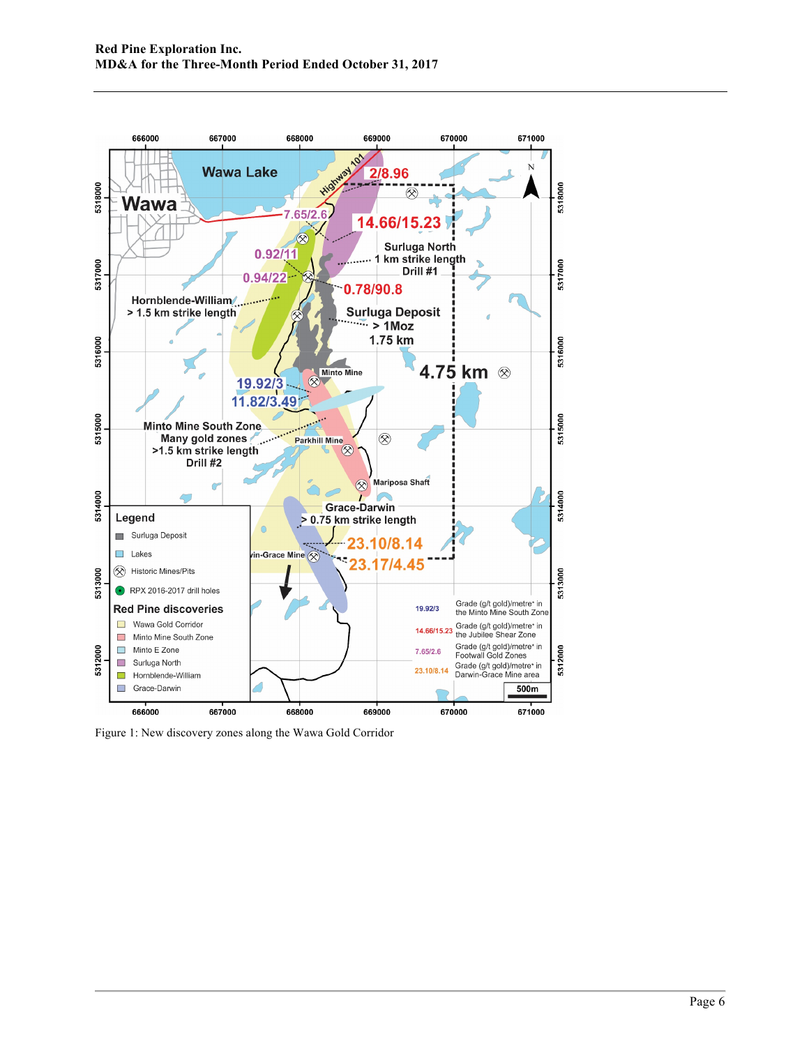

Figure 1: New discovery zones along the Wawa Gold Corridor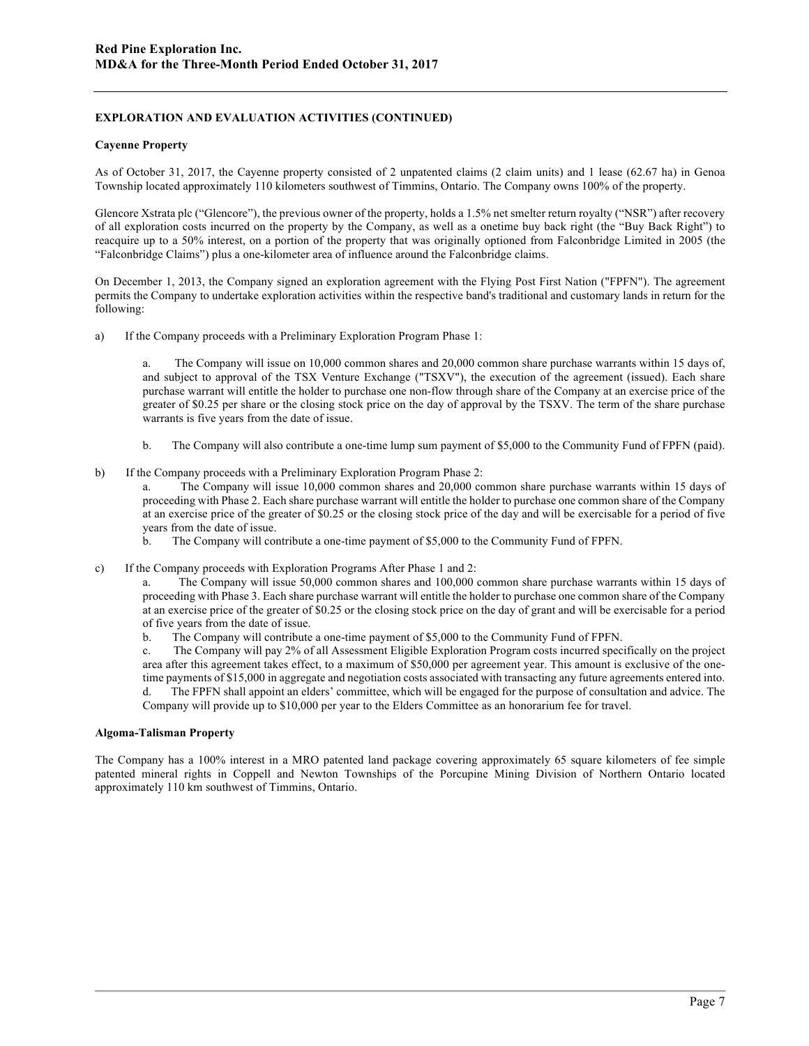## **EXPLORATION AND EVALUATION ACTIVITIES (CONTINUED)**

#### **Cayenne Property**

As of October 31, 2017, the Cayenne property consisted of 2 unpatented claims (2 claim units) and 1 lease (62.67 ha) in Genoa Township located approximately 110 kilometers southwest of Timmins, Ontario. The Company owns 100% of the property.

Glencore Xstrata plc ("Glencore"), the previous owner of the property, holds a 1.5% net smelter return royalty ("NSR") after recovery of all exploration costs incurred on the property by the Company, as well as a onetime buy back right (the "Buy Back Right") to reacquire up to a 50% interest, on a portion of the property that was originally optioned from Falconbridge Limited in 2005 (the "Falconbridge Claims") plus a one-kilometer area of influence around the Falconbridge claims.

On December 1, 2013, the Company signed an exploration agreement with the Flying Post First Nation ("FPFN"). The agreement permits the Company to undertake exploration activities within the respective band's traditional and customary lands in return for the following:

a) If the Company proceeds with a Preliminary Exploration Program Phase 1:

a. The Company will issue on 10,000 common shares and 20,000 common share purchase warrants within 15 days of, and subject to approval of the TSX Venture Exchange ("TSXV"), the execution of the agreement (issued). Each share purchase warrant will entitle the holder to purchase one non-flow through share of the Company at an exercise price of the greater of \$0.25 per share or the closing stock price on the day of approval by the TSXV. The term of the share purchase warrants is five years from the date of issue.

- b. The Company will also contribute a one-time lump sum payment of \$5,000 to the Community Fund of FPFN (paid).
- b) If the Company proceeds with a Preliminary Exploration Program Phase 2:

a. The Company will issue 10,000 common shares and 20,000 common share purchase warrants within 15 days of proceeding with Phase 2. Each share purchase warrant will entitle the holder to purchase one common share of the Company at an exercise price of the greater of \$0.25 or the closing stock price of the day and will be exercisable for a period of five years from the date of issue.

- b. The Company will contribute a one-time payment of \$5,000 to the Community Fund of FPFN.
- c) If the Company proceeds with Exploration Programs After Phase 1 and 2:

a. The Company will issue 50,000 common shares and 100,000 common share purchase warrants within 15 days of proceeding with Phase 3. Each share purchase warrant will entitle the holder to purchase one common share of the Company at an exercise price of the greater of \$0.25 or the closing stock price on the day of grant and will be exercisable for a period of five years from the date of issue.

b. The Company will contribute a one-time payment of \$5,000 to the Community Fund of FPFN.

c. The Company will pay 2% of all Assessment Eligible Exploration Program costs incurred specifically on the project area after this agreement takes effect, to a maximum of \$50,000 per agreement year. This amount is exclusive of the onetime payments of \$15,000 in aggregate and negotiation costs associated with transacting any future agreements entered into.

d. The FPFN shall appoint an elders' committee, which will be engaged for the purpose of consultation and advice. The Company will provide up to \$10,000 per year to the Elders Committee as an honorarium fee for travel.

### **Algoma-Talisman Property**

The Company has a 100% interest in a MRO patented land package covering approximately 65 square kilometers of fee simple patented mineral rights in Coppell and Newton Townships of the Porcupine Mining Division of Northern Ontario located approximately 110 km southwest of Timmins, Ontario.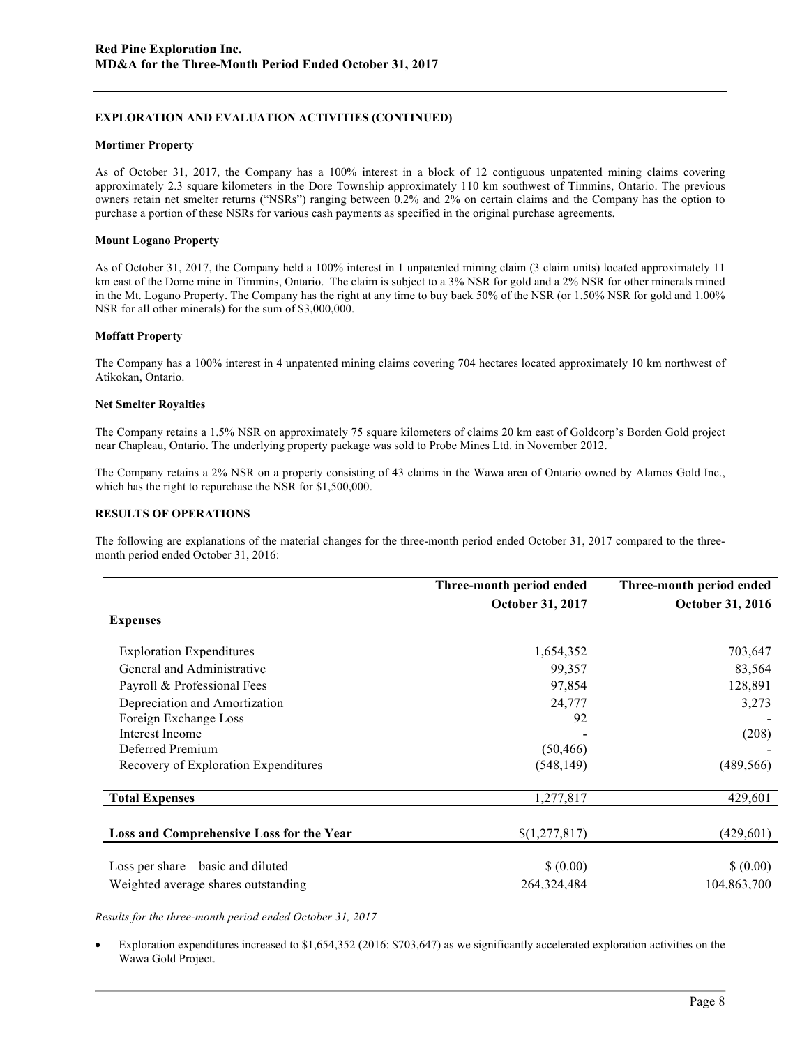## **EXPLORATION AND EVALUATION ACTIVITIES (CONTINUED)**

#### **Mortimer Property**

As of October 31, 2017, the Company has a 100% interest in a block of 12 contiguous unpatented mining claims covering approximately 2.3 square kilometers in the Dore Township approximately 110 km southwest of Timmins, Ontario. The previous owners retain net smelter returns ("NSRs") ranging between 0.2% and 2% on certain claims and the Company has the option to purchase a portion of these NSRs for various cash payments as specified in the original purchase agreements.

#### **Mount Logano Property**

As of October 31, 2017, the Company held a 100% interest in 1 unpatented mining claim (3 claim units) located approximately 11 km east of the Dome mine in Timmins, Ontario. The claim is subject to a 3% NSR for gold and a 2% NSR for other minerals mined in the Mt. Logano Property. The Company has the right at any time to buy back 50% of the NSR (or 1.50% NSR for gold and 1.00% NSR for all other minerals) for the sum of \$3,000,000.

#### **Moffatt Property**

The Company has a 100% interest in 4 unpatented mining claims covering 704 hectares located approximately 10 km northwest of Atikokan, Ontario.

#### **Net Smelter Royalties**

The Company retains a 1.5% NSR on approximately 75 square kilometers of claims 20 km east of Goldcorp's Borden Gold project near Chapleau, Ontario. The underlying property package was sold to Probe Mines Ltd. in November 2012.

The Company retains a 2% NSR on a property consisting of 43 claims in the Wawa area of Ontario owned by Alamos Gold Inc., which has the right to repurchase the NSR for \$1,500,000.

### **RESULTS OF OPERATIONS**

The following are explanations of the material changes for the three-month period ended October 31, 2017 compared to the threemonth period ended October 31, 2016:

|                                          | Three-month period ended | Three-month period ended |
|------------------------------------------|--------------------------|--------------------------|
|                                          | <b>October 31, 2017</b>  | <b>October 31, 2016</b>  |
| <b>Expenses</b>                          |                          |                          |
| <b>Exploration Expenditures</b>          | 1,654,352                | 703,647                  |
| General and Administrative               | 99,357                   | 83,564                   |
| Payroll & Professional Fees              | 97,854                   | 128,891                  |
| Depreciation and Amortization            | 24,777                   | 3,273                    |
| Foreign Exchange Loss                    | 92                       |                          |
| Interest Income                          |                          | (208)                    |
| Deferred Premium                         | (50, 466)                |                          |
| Recovery of Exploration Expenditures     | (548, 149)               | (489, 566)               |
| <b>Total Expenses</b>                    | 1,277,817                | 429,601                  |
| Loss and Comprehensive Loss for the Year | \$(1,277,817)            | (429, 601)               |
| Loss per share – basic and diluted       | \$ (0.00)                | \$ (0.00)                |
| Weighted average shares outstanding      | 264, 324, 484            | 104,863,700              |

*Results for the three-month period ended October 31, 2017*

• Exploration expenditures increased to \$1,654,352 (2016: \$703,647) as we significantly accelerated exploration activities on the Wawa Gold Project.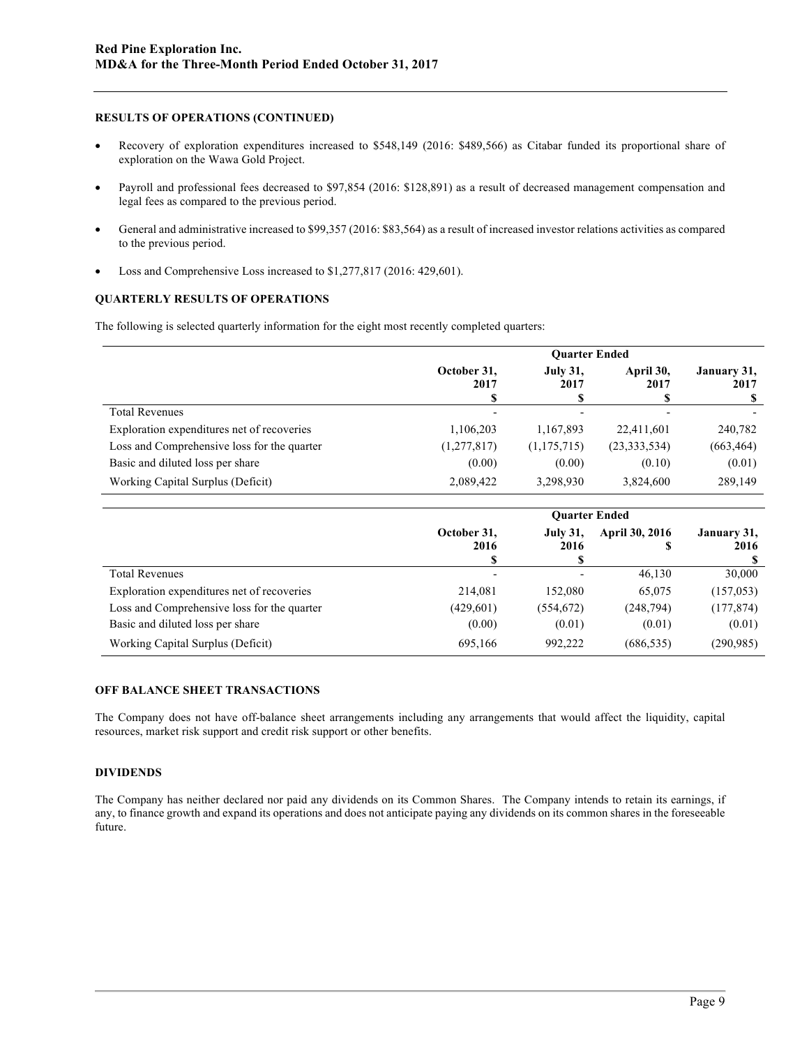### **RESULTS OF OPERATIONS (CONTINUED)**

- Recovery of exploration expenditures increased to \$548,149 (2016: \$489,566) as Citabar funded its proportional share of exploration on the Wawa Gold Project.
- Payroll and professional fees decreased to \$97,854 (2016: \$128,891) as a result of decreased management compensation and legal fees as compared to the previous period.
- General and administrative increased to \$99,357 (2016: \$83,564) as a result of increased investor relations activities as compared to the previous period.
- Loss and Comprehensive Loss increased to \$1,277,817 (2016: 429,601).

#### **QUARTERLY RESULTS OF OPERATIONS**

The following is selected quarterly information for the eight most recently completed quarters:

|                                             | <b>Ouarter Ended</b>     |                          |                   |                     |
|---------------------------------------------|--------------------------|--------------------------|-------------------|---------------------|
|                                             | October 31.<br>2017<br>S | <b>July 31,</b><br>2017  | April 30,<br>2017 | January 31,<br>2017 |
| <b>Total Revenues</b>                       | $\overline{\phantom{a}}$ | $\overline{\phantom{0}}$ |                   |                     |
| Exploration expenditures net of recoveries  | 1,106,203                | 1,167,893                | 22,411,601        | 240,782             |
| Loss and Comprehensive loss for the quarter | (1,277,817)              | (1,175,715)              | (23, 333, 534)    | (663, 464)          |
| Basic and diluted loss per share            | (0.00)                   | (0.00)                   | (0.10)            | (0.01)              |
| Working Capital Surplus (Deficit)           | 2,089,422                | 3,298,930                | 3,824,600         | 289,149             |

|                                             | <b>Ouarter Ended</b>      |                              |                     |                     |  |
|---------------------------------------------|---------------------------|------------------------------|---------------------|---------------------|--|
|                                             | October 31,<br>2016<br>\$ | <b>July 31,</b><br>2016<br>S | April 30, 2016<br>S | January 31,<br>2016 |  |
| <b>Total Revenues</b>                       | $\overline{\phantom{a}}$  |                              | 46,130              | 30,000              |  |
| Exploration expenditures net of recoveries  | 214,081                   | 152,080                      | 65,075              | (157, 053)          |  |
| Loss and Comprehensive loss for the quarter | (429, 601)                | (554, 672)                   | (248, 794)          | (177, 874)          |  |
| Basic and diluted loss per share            | (0.00)                    | (0.01)                       | (0.01)              | (0.01)              |  |
| Working Capital Surplus (Deficit)           | 695,166                   | 992,222                      | (686, 535)          | (290, 985)          |  |

### **OFF BALANCE SHEET TRANSACTIONS**

The Company does not have off-balance sheet arrangements including any arrangements that would affect the liquidity, capital resources, market risk support and credit risk support or other benefits.

## **DIVIDENDS**

The Company has neither declared nor paid any dividends on its Common Shares. The Company intends to retain its earnings, if any, to finance growth and expand its operations and does not anticipate paying any dividends on its common shares in the foreseeable future.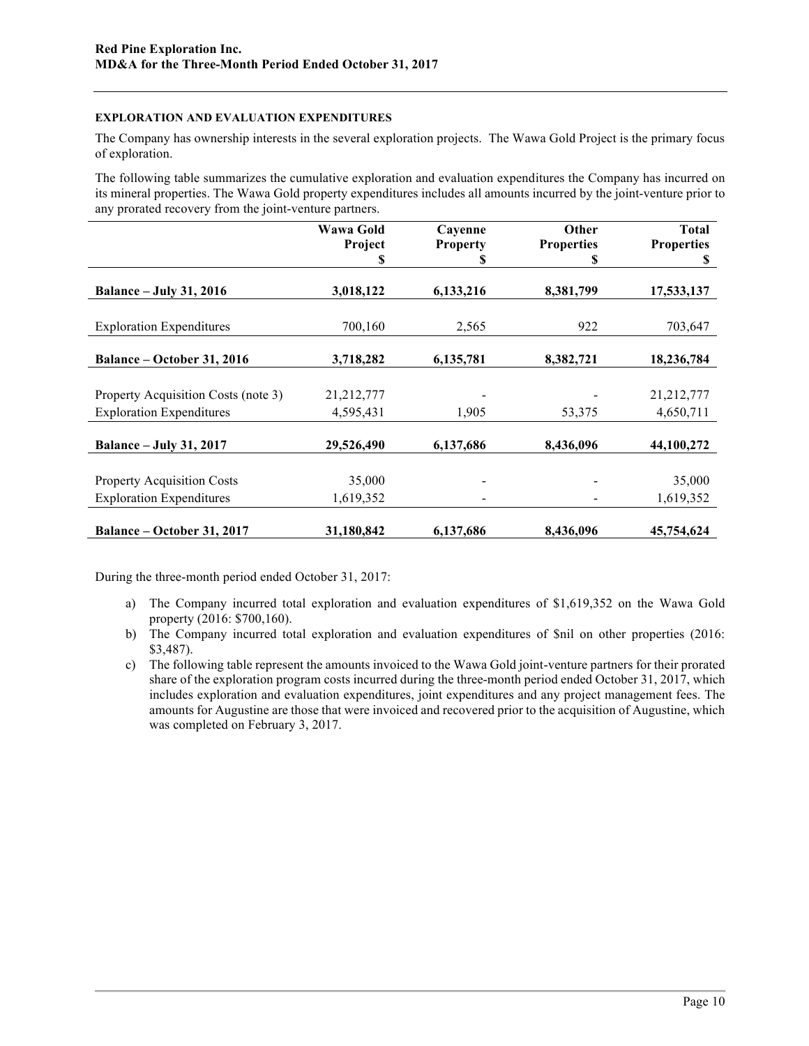# **EXPLORATION AND EVALUATION EXPENDITURES**

The Company has ownership interests in the several exploration projects. The Wawa Gold Project is the primary focus of exploration.

The following table summarizes the cumulative exploration and evaluation expenditures the Company has incurred on its mineral properties. The Wawa Gold property expenditures includes all amounts incurred by the joint-venture prior to any prorated recovery from the joint-venture partners.

|                                     | Wawa Gold<br>Project | Cayenne<br><b>Property</b> | Other<br><b>Properties</b> | <b>Total</b><br><b>Properties</b> |
|-------------------------------------|----------------------|----------------------------|----------------------------|-----------------------------------|
|                                     |                      | Ъ                          | S                          | S                                 |
| <b>Balance - July 31, 2016</b>      | 3,018,122            | 6,133,216                  | 8,381,799                  | 17,533,137                        |
| <b>Exploration Expenditures</b>     | 700,160              | 2,565                      | 922                        | 703,647                           |
| Balance - October 31, 2016          | 3,718,282            | 6,135,781                  | 8,382,721                  | 18,236,784                        |
|                                     |                      |                            |                            |                                   |
| Property Acquisition Costs (note 3) | 21,212,777           |                            |                            | 21,212,777                        |
| <b>Exploration Expenditures</b>     | 4,595,431            | 1,905                      | 53,375                     | 4,650,711                         |
| <b>Balance - July 31, 2017</b>      | 29,526,490           | 6,137,686                  | 8,436,096                  | 44,100,272                        |
|                                     |                      |                            |                            |                                   |
| <b>Property Acquisition Costs</b>   | 35,000               |                            |                            | 35,000                            |
| <b>Exploration Expenditures</b>     | 1,619,352            |                            |                            | 1,619,352                         |
| Balance - October 31, 2017          | 31,180,842           | 6,137,686                  | 8,436,096                  | 45,754,624                        |

During the three-month period ended October 31, 2017:

- a) The Company incurred total exploration and evaluation expenditures of \$1,619,352 on the Wawa Gold property (2016: \$700,160).
- b) The Company incurred total exploration and evaluation expenditures of \$nil on other properties (2016: \$3,487).
- c) The following table represent the amounts invoiced to the Wawa Gold joint-venture partners for their prorated share of the exploration program costs incurred during the three-month period ended October 31, 2017, which includes exploration and evaluation expenditures, joint expenditures and any project management fees. The amounts for Augustine are those that were invoiced and recovered prior to the acquisition of Augustine, which was completed on February 3, 2017.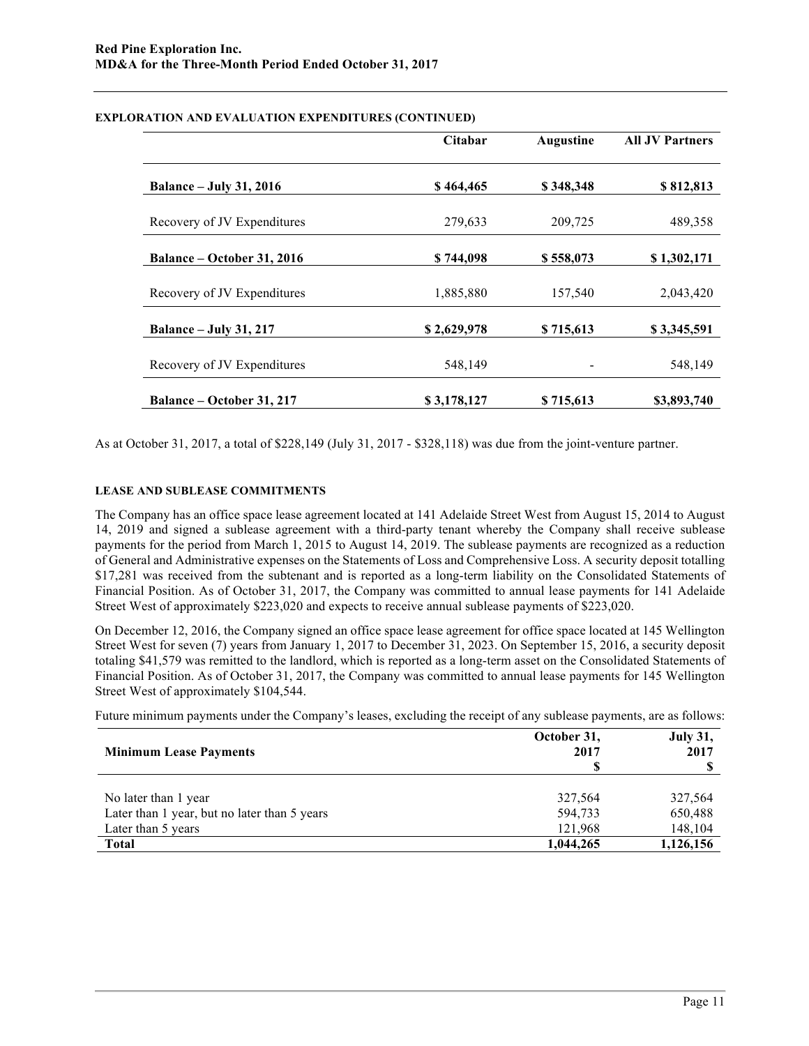|                                   | <b>Citabar</b> | <b>Augustine</b> | <b>All JV Partners</b> |
|-----------------------------------|----------------|------------------|------------------------|
| <b>Balance – July 31, 2016</b>    | \$464,465      | \$348,348        | \$812,813              |
| Recovery of JV Expenditures       | 279,633        | 209,725          | 489,358                |
| <b>Balance – October 31, 2016</b> | \$744,098      | \$558,073        | \$1,302,171            |
| Recovery of JV Expenditures       | 1,885,880      | 157,540          | 2,043,420              |
| <b>Balance - July 31, 217</b>     | \$2,629,978    | \$715,613        | \$3,345,591            |
| Recovery of JV Expenditures       | 548,149        |                  | 548,149                |
| <b>Balance – October 31, 217</b>  | \$3,178,127    | \$715,613        | \$3,893,740            |

## **EXPLORATION AND EVALUATION EXPENDITURES (CONTINUED)**

As at October 31, 2017, a total of \$228,149 (July 31, 2017 - \$328,118) was due from the joint-venture partner.

# **LEASE AND SUBLEASE COMMITMENTS**

The Company has an office space lease agreement located at 141 Adelaide Street West from August 15, 2014 to August 14, 2019 and signed a sublease agreement with a third-party tenant whereby the Company shall receive sublease payments for the period from March 1, 2015 to August 14, 2019. The sublease payments are recognized as a reduction of General and Administrative expenses on the Statements of Loss and Comprehensive Loss. A security deposit totalling \$17,281 was received from the subtenant and is reported as a long-term liability on the Consolidated Statements of Financial Position. As of October 31, 2017, the Company was committed to annual lease payments for 141 Adelaide Street West of approximately \$223,020 and expects to receive annual sublease payments of \$223,020.

On December 12, 2016, the Company signed an office space lease agreement for office space located at 145 Wellington Street West for seven (7) years from January 1, 2017 to December 31, 2023. On September 15, 2016, a security deposit totaling \$41,579 was remitted to the landlord, which is reported as a long-term asset on the Consolidated Statements of Financial Position. As of October 31, 2017, the Company was committed to annual lease payments for 145 Wellington Street West of approximately \$104,544.

Future minimum payments under the Company's leases, excluding the receipt of any sublease payments, are as follows:

| <b>Minimum Lease Payments</b>                | October 31,<br>2017 | <b>July 31,</b><br>2017 |  |
|----------------------------------------------|---------------------|-------------------------|--|
| No later than 1 year                         | 327.564             | 327,564                 |  |
| Later than 1 year, but no later than 5 years | 594,733             | 650,488                 |  |
| Later than 5 years                           | 121,968             | 148,104                 |  |
| <b>Total</b>                                 | 1,044,265           | 1,126,156               |  |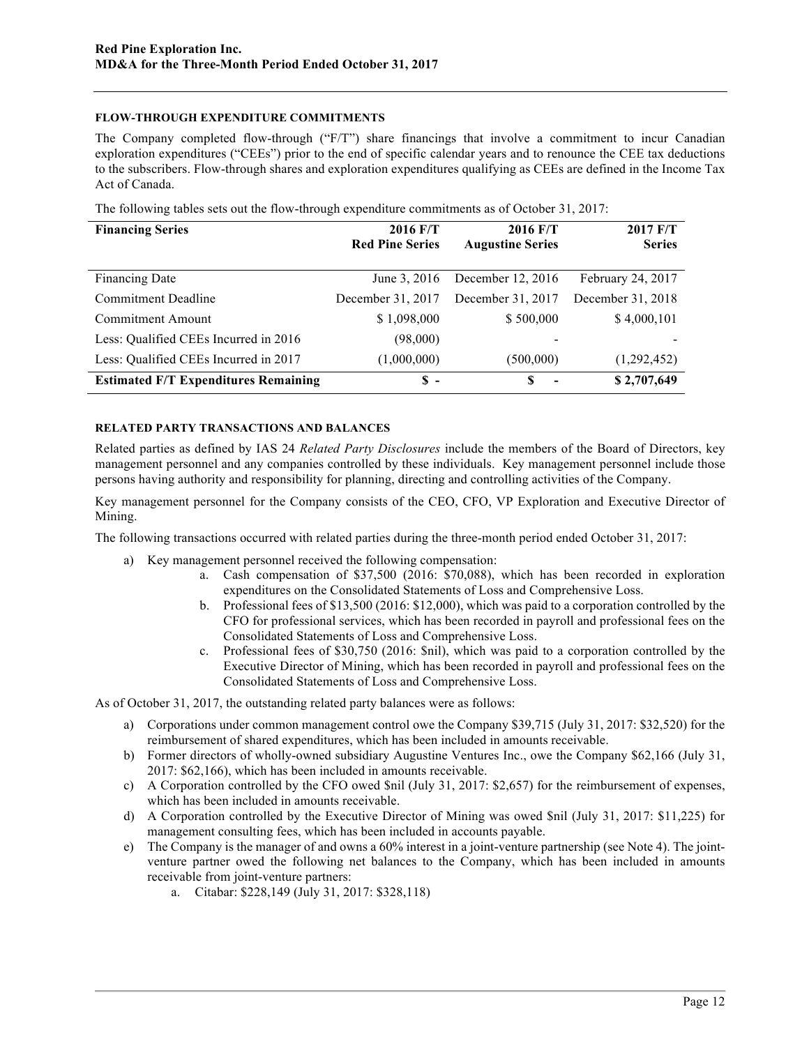# **FLOW-THROUGH EXPENDITURE COMMITMENTS**

The Company completed flow-through ("F/T") share financings that involve a commitment to incur Canadian exploration expenditures ("CEEs") prior to the end of specific calendar years and to renounce the CEE tax deductions to the subscribers. Flow-through shares and exploration expenditures qualifying as CEEs are defined in the Income Tax Act of Canada.

| The following tables sets out the flow-through expenditure commitments as of October 31, 2017: |  |  |
|------------------------------------------------------------------------------------------------|--|--|
|                                                                                                |  |  |
|                                                                                                |  |  |

| <b>Financing Series</b>                     | 2016 F/T<br><b>Red Pine Series</b> | 2016 F/T<br><b>Augustine Series</b> | 2017 F/T<br><b>Series</b> |
|---------------------------------------------|------------------------------------|-------------------------------------|---------------------------|
| Financing Date                              | June 3, 2016                       | December 12, 2016                   | February 24, 2017         |
| <b>Commitment Deadline</b>                  | December 31, 2017                  | December 31, 2017                   | December 31, 2018         |
| Commitment Amount                           | \$1,098,000                        | \$500,000                           | \$4,000,101               |
| Less: Qualified CEEs Incurred in 2016       | (98,000)                           |                                     |                           |
| Less: Qualified CEEs Incurred in 2017       | (1,000,000)                        | (500,000)                           | (1,292,452)               |
| <b>Estimated F/T Expenditures Remaining</b> | $S -$                              | S<br>$\overline{\phantom{a}}$       | \$2,707,649               |

## **RELATED PARTY TRANSACTIONS AND BALANCES**

Related parties as defined by IAS 24 *Related Party Disclosures* include the members of the Board of Directors, key management personnel and any companies controlled by these individuals. Key management personnel include those persons having authority and responsibility for planning, directing and controlling activities of the Company.

Key management personnel for the Company consists of the CEO, CFO, VP Exploration and Executive Director of Mining.

The following transactions occurred with related parties during the three-month period ended October 31, 2017:

- a) Key management personnel received the following compensation:
	- a. Cash compensation of \$37,500 (2016: \$70,088), which has been recorded in exploration expenditures on the Consolidated Statements of Loss and Comprehensive Loss.
	- b. Professional fees of \$13,500 (2016: \$12,000), which was paid to a corporation controlled by the CFO for professional services, which has been recorded in payroll and professional fees on the Consolidated Statements of Loss and Comprehensive Loss.
	- c. Professional fees of \$30,750 (2016: \$nil), which was paid to a corporation controlled by the Executive Director of Mining, which has been recorded in payroll and professional fees on the Consolidated Statements of Loss and Comprehensive Loss.

As of October 31, 2017, the outstanding related party balances were as follows:

- a) Corporations under common management control owe the Company \$39,715 (July 31, 2017: \$32,520) for the reimbursement of shared expenditures, which has been included in amounts receivable.
- b) Former directors of wholly-owned subsidiary Augustine Ventures Inc., owe the Company \$62,166 (July 31, 2017: \$62,166), which has been included in amounts receivable.
- c) A Corporation controlled by the CFO owed \$nil (July 31, 2017: \$2,657) for the reimbursement of expenses, which has been included in amounts receivable.
- d) A Corporation controlled by the Executive Director of Mining was owed \$nil (July 31, 2017: \$11,225) for management consulting fees, which has been included in accounts payable.
- e) The Company is the manager of and owns a 60% interest in a joint-venture partnership (see Note 4). The jointventure partner owed the following net balances to the Company, which has been included in amounts receivable from joint-venture partners:
	- a. Citabar: \$228,149 (July 31, 2017: \$328,118)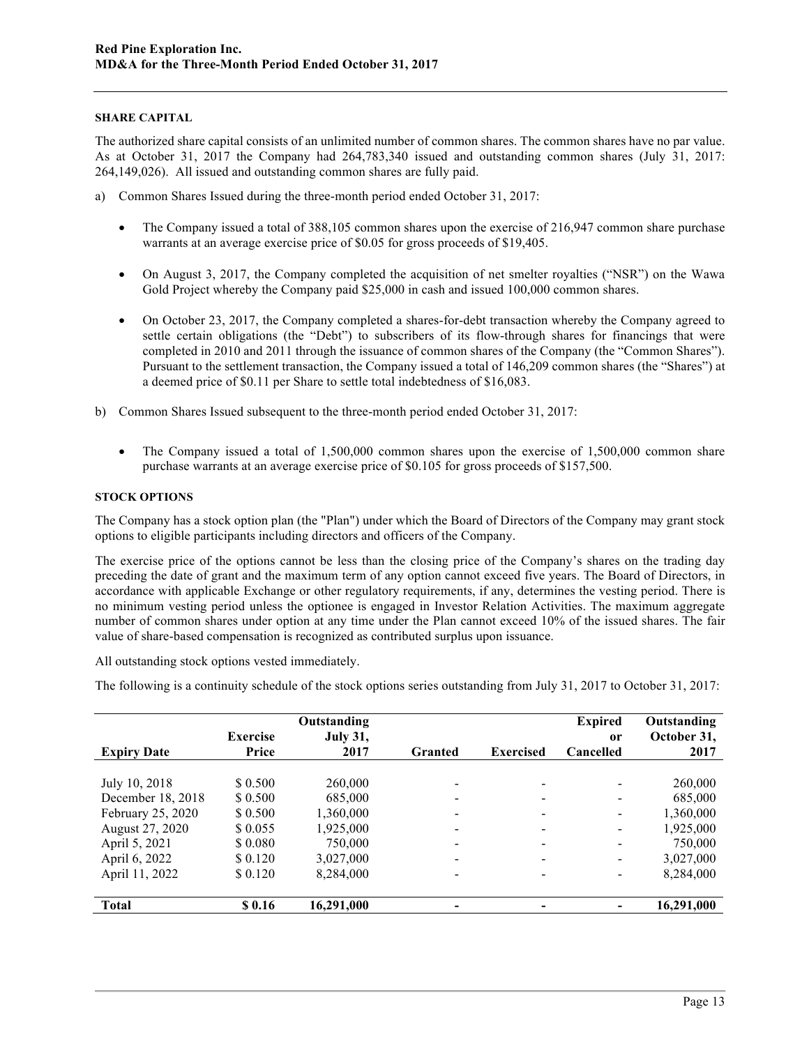# **SHARE CAPITAL**

The authorized share capital consists of an unlimited number of common shares. The common shares have no par value. As at October 31, 2017 the Company had 264,783,340 issued and outstanding common shares (July 31, 2017: 264,149,026). All issued and outstanding common shares are fully paid.

- a) Common Shares Issued during the three-month period ended October 31, 2017:
	- The Company issued a total of 388,105 common shares upon the exercise of 216,947 common share purchase warrants at an average exercise price of \$0.05 for gross proceeds of \$19,405.
	- On August 3, 2017, the Company completed the acquisition of net smelter royalties ("NSR") on the Wawa Gold Project whereby the Company paid \$25,000 in cash and issued 100,000 common shares.
	- On October 23, 2017, the Company completed a shares-for-debt transaction whereby the Company agreed to settle certain obligations (the "Debt") to subscribers of its flow-through shares for financings that were completed in 2010 and 2011 through the issuance of common shares of the Company (the "Common Shares"). Pursuant to the settlement transaction, the Company issued a total of 146,209 common shares (the "Shares") at a deemed price of \$0.11 per Share to settle total indebtedness of \$16,083.
- b) Common Shares Issued subsequent to the three-month period ended October 31, 2017:
	- The Company issued a total of 1,500,000 common shares upon the exercise of 1,500,000 common share purchase warrants at an average exercise price of \$0.105 for gross proceeds of \$157,500.

# **STOCK OPTIONS**

The Company has a stock option plan (the "Plan") under which the Board of Directors of the Company may grant stock options to eligible participants including directors and officers of the Company.

The exercise price of the options cannot be less than the closing price of the Company's shares on the trading day preceding the date of grant and the maximum term of any option cannot exceed five years. The Board of Directors, in accordance with applicable Exchange or other regulatory requirements, if any, determines the vesting period. There is no minimum vesting period unless the optionee is engaged in Investor Relation Activities. The maximum aggregate number of common shares under option at any time under the Plan cannot exceed 10% of the issued shares. The fair value of share-based compensation is recognized as contributed surplus upon issuance.

All outstanding stock options vested immediately.

The following is a continuity schedule of the stock options series outstanding from July 31, 2017 to October 31, 2017:

|                    |                 | Outstanding     |         |                          | <b>Expired</b> | Outstanding |
|--------------------|-----------------|-----------------|---------|--------------------------|----------------|-------------|
|                    | <b>Exercise</b> | <b>July 31,</b> |         |                          | <sub>or</sub>  | October 31, |
| <b>Expiry Date</b> | Price           | 2017            | Granted | <b>Exercised</b>         | Cancelled      | 2017        |
|                    |                 |                 |         |                          |                |             |
| July 10, 2018      | \$ 0.500        | 260,000         |         | $\overline{\phantom{a}}$ |                | 260,000     |
| December 18, 2018  | \$ 0.500        | 685,000         |         | $\overline{\phantom{a}}$ |                | 685,000     |
| February 25, 2020  | \$ 0.500        | 1,360,000       |         | $\overline{\phantom{a}}$ | ۰              | 1,360,000   |
| August 27, 2020    | \$0.055         | 1,925,000       |         | $\overline{\phantom{a}}$ | ۰              | 1,925,000   |
| April 5, 2021      | \$0.080         | 750,000         |         |                          |                | 750,000     |
| April 6, 2022      | \$ 0.120        | 3,027,000       |         | $\overline{\phantom{a}}$ | ۰              | 3,027,000   |
| April 11, 2022     | \$ 0.120        | 8,284,000       |         | $\overline{\phantom{a}}$ |                | 8,284,000   |
|                    |                 |                 |         |                          |                |             |
| <b>Total</b>       | \$0.16          | 16,291,000      |         |                          |                | 16,291,000  |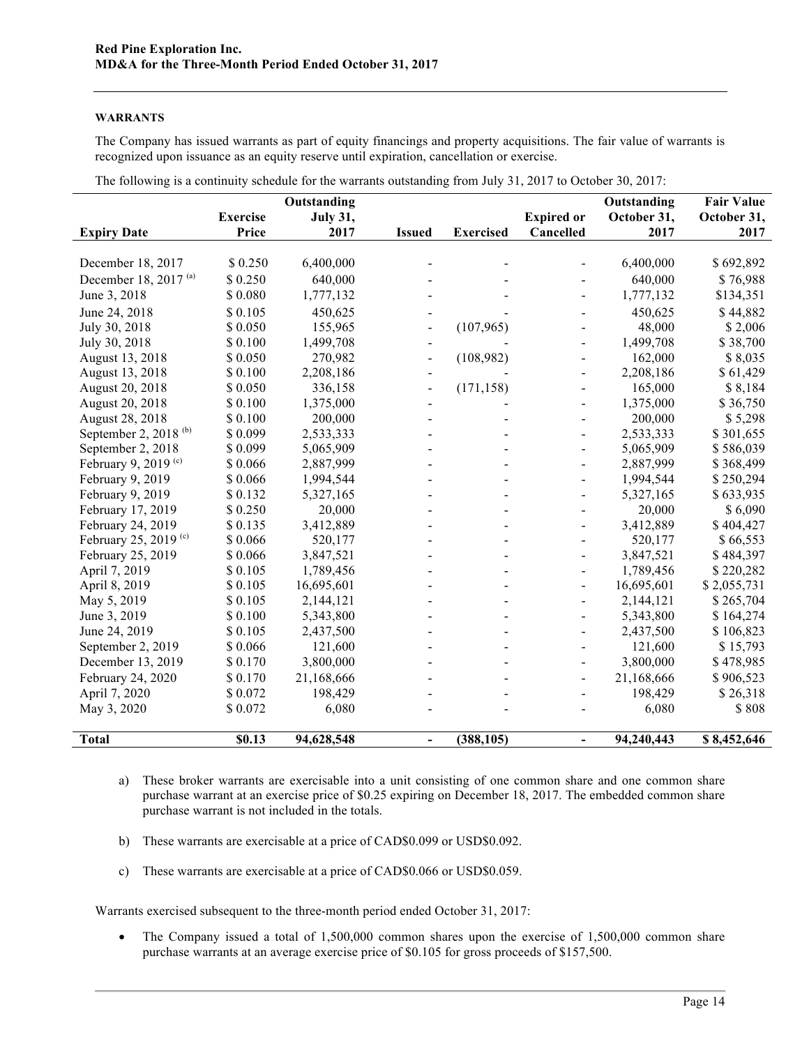## **WARRANTS**

The Company has issued warrants as part of equity financings and property acquisitions. The fair value of warrants is recognized upon issuance as an equity reserve until expiration, cancellation or exercise.

|                                  |                 | Outstanding     |                |                  |                          | Outstanding | <b>Fair Value</b> |
|----------------------------------|-----------------|-----------------|----------------|------------------|--------------------------|-------------|-------------------|
|                                  | <b>Exercise</b> | <b>July 31,</b> |                |                  | <b>Expired or</b>        | October 31, | October 31,       |
| <b>Expiry Date</b>               | Price           | 2017            | <b>Issued</b>  | <b>Exercised</b> | Cancelled                | 2017        | 2017              |
|                                  |                 |                 |                |                  |                          |             |                   |
| December 18, 2017                | \$0.250         | 6,400,000       |                |                  |                          | 6,400,000   | \$692,892         |
| December 18, 2017 (a)            | \$0.250         | 640,000         |                |                  |                          | 640,000     | \$76,988          |
| June 3, 2018                     | \$0.080         | 1,777,132       |                |                  |                          | 1,777,132   | \$134,351         |
| June 24, 2018                    | \$0.105         | 450,625         |                |                  |                          | 450,625     | \$44,882          |
| July 30, 2018                    | \$0.050         | 155,965         |                | (107, 965)       |                          | 48,000      | \$2,006           |
| July 30, 2018                    | \$0.100         | 1,499,708       |                |                  |                          | 1,499,708   | \$38,700          |
| August 13, 2018                  | \$0.050         | 270,982         |                | (108,982)        |                          | 162,000     | \$8,035           |
| August 13, 2018                  | \$0.100         | 2,208,186       |                |                  |                          | 2,208,186   | \$61,429          |
| August 20, 2018                  | \$0.050         | 336,158         |                | (171, 158)       |                          | 165,000     | \$8,184           |
| August 20, 2018                  | \$0.100         | 1,375,000       |                |                  |                          | 1,375,000   | \$36,750          |
| August 28, 2018                  | \$0.100         | 200,000         |                |                  |                          | 200,000     | \$5,298           |
| September 2, 2018 $(b)$          | \$0.099         | 2,533,333       |                |                  |                          | 2,533,333   | \$301,655         |
| September 2, 2018                | \$0.099         | 5,065,909       |                |                  |                          | 5,065,909   | \$586,039         |
| February 9, 2019 <sup>(c)</sup>  | \$0.066         | 2,887,999       |                |                  |                          | 2,887,999   | \$368,499         |
| February 9, 2019                 | \$0.066         | 1,994,544       |                |                  |                          | 1,994,544   | \$250,294         |
| February 9, 2019                 | \$0.132         | 5,327,165       |                |                  |                          | 5,327,165   | \$633,935         |
| February 17, 2019                | \$0.250         | 20,000          |                |                  |                          | 20,000      | \$6,090           |
| February 24, 2019                | \$0.135         | 3,412,889       |                |                  |                          | 3,412,889   | \$404,427         |
| February 25, 2019 <sup>(c)</sup> | \$0.066         | 520,177         |                |                  |                          | 520,177     | \$66,553          |
| February 25, 2019                | \$0.066         | 3,847,521       |                |                  |                          | 3,847,521   | \$484,397         |
| April 7, 2019                    | \$0.105         | 1,789,456       |                |                  |                          | 1,789,456   | \$220,282         |
| April 8, 2019                    | \$0.105         | 16,695,601      |                |                  |                          | 16,695,601  | \$2,055,731       |
| May 5, 2019                      | \$0.105         | 2,144,121       |                |                  |                          | 2,144,121   | \$265,704         |
| June 3, 2019                     | \$0.100         | 5,343,800       |                |                  |                          | 5,343,800   | \$164,274         |
| June 24, 2019                    | \$0.105         | 2,437,500       |                |                  |                          | 2,437,500   | \$106,823         |
| September 2, 2019                | \$0.066         | 121,600         |                |                  |                          | 121,600     | \$15,793          |
| December 13, 2019                | \$0.170         | 3,800,000       |                |                  |                          | 3,800,000   | \$478,985         |
| February 24, 2020                | \$0.170         | 21,168,666      |                |                  |                          | 21,168,666  | \$906,523         |
| April 7, 2020                    | \$0.072         | 198,429         |                |                  |                          | 198,429     | \$26,318          |
| May 3, 2020                      | \$0.072         | 6,080           |                |                  |                          | 6,080       | \$808             |
|                                  |                 |                 |                |                  |                          |             |                   |
| <b>Total</b>                     | \$0.13          | 94,628,548      | $\blacksquare$ | (388, 105)       | $\overline{\phantom{0}}$ | 94,240,443  | \$8,452,646       |

The following is a continuity schedule for the warrants outstanding from July 31, 2017 to October 30, 2017:

- a) These broker warrants are exercisable into a unit consisting of one common share and one common share purchase warrant at an exercise price of \$0.25 expiring on December 18, 2017. The embedded common share purchase warrant is not included in the totals.
- b) These warrants are exercisable at a price of CAD\$0.099 or USD\$0.092.
- c) These warrants are exercisable at a price of CAD\$0.066 or USD\$0.059.

Warrants exercised subsequent to the three-month period ended October 31, 2017:

• The Company issued a total of 1,500,000 common shares upon the exercise of 1,500,000 common share purchase warrants at an average exercise price of \$0.105 for gross proceeds of \$157,500.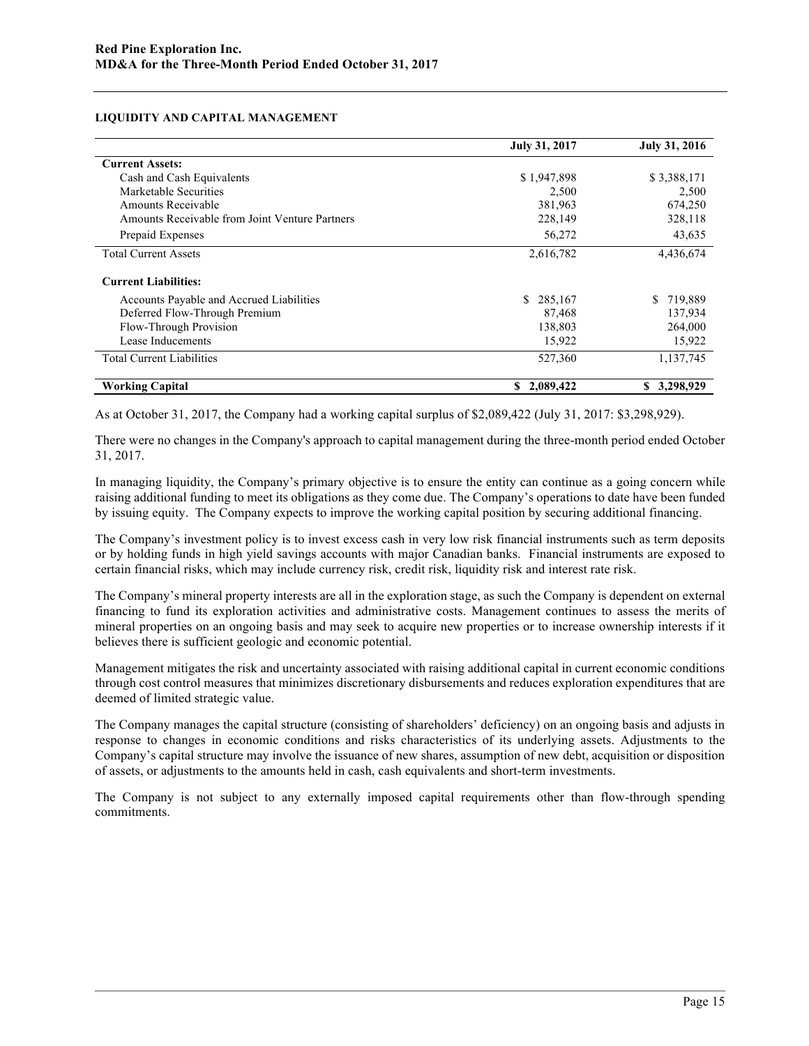## **LIQUIDITY AND CAPITAL MANAGEMENT**

|                                                | <b>July 31, 2017</b> | <b>July 31, 2016</b> |
|------------------------------------------------|----------------------|----------------------|
| <b>Current Assets:</b>                         |                      |                      |
| Cash and Cash Equivalents                      | \$1,947,898          | \$3,388,171          |
| Marketable Securities                          | 2,500                | 2,500                |
| Amounts Receivable                             | 381,963              | 674,250              |
| Amounts Receivable from Joint Venture Partners | 228,149              | 328,118              |
| Prepaid Expenses                               | 56,272               | 43,635               |
| <b>Total Current Assets</b>                    | 2,616,782            | 4,436,674            |
| <b>Current Liabilities:</b>                    |                      |                      |
| Accounts Payable and Accrued Liabilities       | \$285,167            | \$.<br>719,889       |
| Deferred Flow-Through Premium                  | 87,468               | 137,934              |
| Flow-Through Provision                         | 138,803              | 264,000              |
| Lease Inducements                              | 15,922               | 15,922               |
| <b>Total Current Liabilities</b>               | 527,360              | 1,137,745            |
| <b>Working Capital</b>                         | 2,089,422<br>S.      | \$3,298,929          |

As at October 31, 2017, the Company had a working capital surplus of \$2,089,422 (July 31, 2017: \$3,298,929).

There were no changes in the Company's approach to capital management during the three-month period ended October 31, 2017.

In managing liquidity, the Company's primary objective is to ensure the entity can continue as a going concern while raising additional funding to meet its obligations as they come due. The Company's operations to date have been funded by issuing equity. The Company expects to improve the working capital position by securing additional financing.

The Company's investment policy is to invest excess cash in very low risk financial instruments such as term deposits or by holding funds in high yield savings accounts with major Canadian banks. Financial instruments are exposed to certain financial risks, which may include currency risk, credit risk, liquidity risk and interest rate risk.

The Company's mineral property interests are all in the exploration stage, as such the Company is dependent on external financing to fund its exploration activities and administrative costs. Management continues to assess the merits of mineral properties on an ongoing basis and may seek to acquire new properties or to increase ownership interests if it believes there is sufficient geologic and economic potential.

Management mitigates the risk and uncertainty associated with raising additional capital in current economic conditions through cost control measures that minimizes discretionary disbursements and reduces exploration expenditures that are deemed of limited strategic value.

The Company manages the capital structure (consisting of shareholders' deficiency) on an ongoing basis and adjusts in response to changes in economic conditions and risks characteristics of its underlying assets. Adjustments to the Company's capital structure may involve the issuance of new shares, assumption of new debt, acquisition or disposition of assets, or adjustments to the amounts held in cash, cash equivalents and short-term investments.

The Company is not subject to any externally imposed capital requirements other than flow-through spending commitments.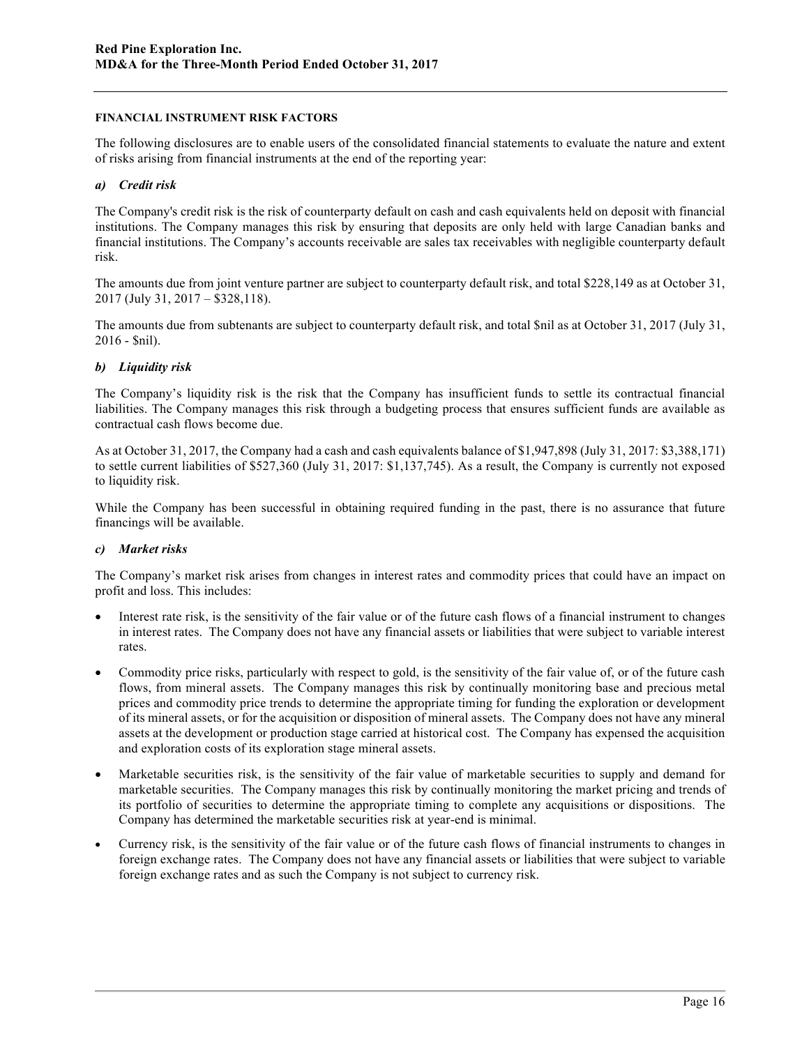## **FINANCIAL INSTRUMENT RISK FACTORS**

The following disclosures are to enable users of the consolidated financial statements to evaluate the nature and extent of risks arising from financial instruments at the end of the reporting year:

# *a) Credit risk*

The Company's credit risk is the risk of counterparty default on cash and cash equivalents held on deposit with financial institutions. The Company manages this risk by ensuring that deposits are only held with large Canadian banks and financial institutions. The Company's accounts receivable are sales tax receivables with negligible counterparty default risk.

The amounts due from joint venture partner are subject to counterparty default risk, and total \$228,149 as at October 31, 2017 (July 31, 2017 – \$328,118).

The amounts due from subtenants are subject to counterparty default risk, and total \$nil as at October 31, 2017 (July 31, 2016 - \$nil).

# *b) Liquidity risk*

The Company's liquidity risk is the risk that the Company has insufficient funds to settle its contractual financial liabilities. The Company manages this risk through a budgeting process that ensures sufficient funds are available as contractual cash flows become due.

As at October 31, 2017, the Company had a cash and cash equivalents balance of \$1,947,898 (July 31, 2017: \$3,388,171) to settle current liabilities of \$527,360 (July 31, 2017: \$1,137,745). As a result, the Company is currently not exposed to liquidity risk.

While the Company has been successful in obtaining required funding in the past, there is no assurance that future financings will be available.

### *c) Market risks*

The Company's market risk arises from changes in interest rates and commodity prices that could have an impact on profit and loss. This includes:

- Interest rate risk, is the sensitivity of the fair value or of the future cash flows of a financial instrument to changes in interest rates. The Company does not have any financial assets or liabilities that were subject to variable interest rates.
- Commodity price risks, particularly with respect to gold, is the sensitivity of the fair value of, or of the future cash flows, from mineral assets. The Company manages this risk by continually monitoring base and precious metal prices and commodity price trends to determine the appropriate timing for funding the exploration or development of its mineral assets, or for the acquisition or disposition of mineral assets. The Company does not have any mineral assets at the development or production stage carried at historical cost. The Company has expensed the acquisition and exploration costs of its exploration stage mineral assets.
- Marketable securities risk, is the sensitivity of the fair value of marketable securities to supply and demand for marketable securities. The Company manages this risk by continually monitoring the market pricing and trends of its portfolio of securities to determine the appropriate timing to complete any acquisitions or dispositions. The Company has determined the marketable securities risk at year-end is minimal.
- Currency risk, is the sensitivity of the fair value or of the future cash flows of financial instruments to changes in foreign exchange rates. The Company does not have any financial assets or liabilities that were subject to variable foreign exchange rates and as such the Company is not subject to currency risk.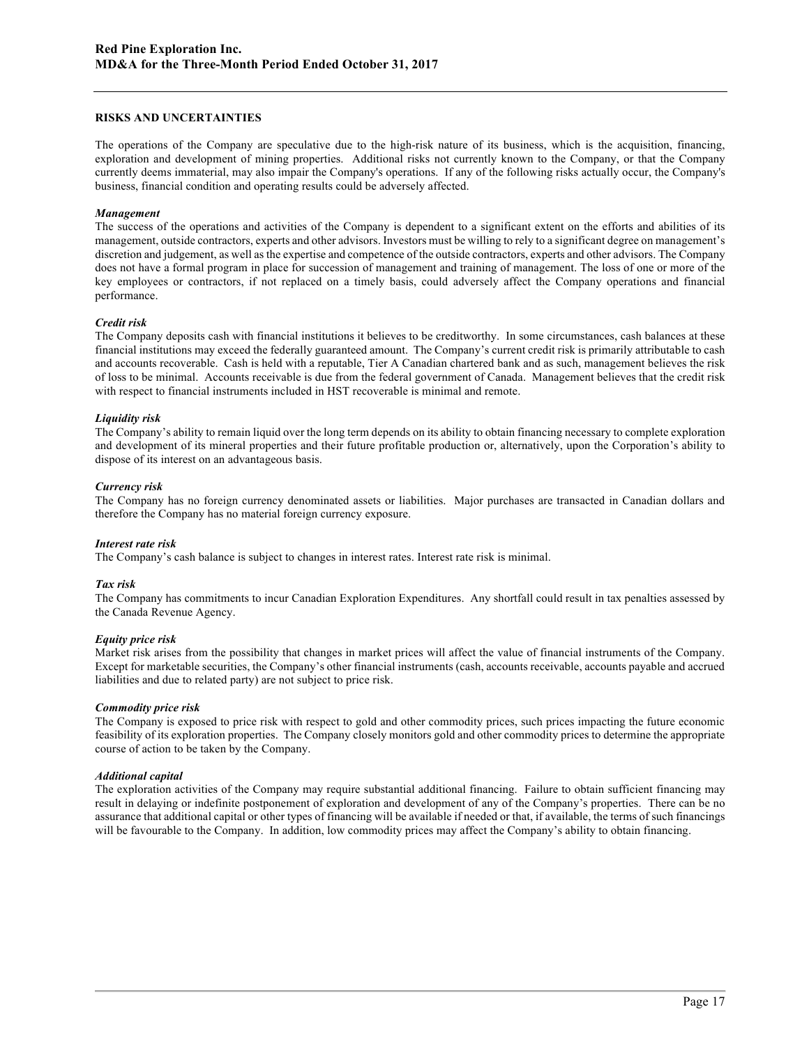#### **RISKS AND UNCERTAINTIES**

The operations of the Company are speculative due to the high-risk nature of its business, which is the acquisition, financing, exploration and development of mining properties. Additional risks not currently known to the Company, or that the Company currently deems immaterial, may also impair the Company's operations. If any of the following risks actually occur, the Company's business, financial condition and operating results could be adversely affected.

#### *Management*

The success of the operations and activities of the Company is dependent to a significant extent on the efforts and abilities of its management, outside contractors, experts and other advisors. Investors must be willing to rely to a significant degree on management's discretion and judgement, as well as the expertise and competence of the outside contractors, experts and other advisors. The Company does not have a formal program in place for succession of management and training of management. The loss of one or more of the key employees or contractors, if not replaced on a timely basis, could adversely affect the Company operations and financial performance.

#### *Credit risk*

The Company deposits cash with financial institutions it believes to be creditworthy. In some circumstances, cash balances at these financial institutions may exceed the federally guaranteed amount. The Company's current credit risk is primarily attributable to cash and accounts recoverable. Cash is held with a reputable, Tier A Canadian chartered bank and as such, management believes the risk of loss to be minimal. Accounts receivable is due from the federal government of Canada. Management believes that the credit risk with respect to financial instruments included in HST recoverable is minimal and remote.

#### *Liquidity risk*

The Company's ability to remain liquid over the long term depends on its ability to obtain financing necessary to complete exploration and development of its mineral properties and their future profitable production or, alternatively, upon the Corporation's ability to dispose of its interest on an advantageous basis.

#### *Currency risk*

The Company has no foreign currency denominated assets or liabilities. Major purchases are transacted in Canadian dollars and therefore the Company has no material foreign currency exposure.

#### *Interest rate risk*

The Company's cash balance is subject to changes in interest rates. Interest rate risk is minimal.

### *Tax risk*

The Company has commitments to incur Canadian Exploration Expenditures. Any shortfall could result in tax penalties assessed by the Canada Revenue Agency.

### *Equity price risk*

Market risk arises from the possibility that changes in market prices will affect the value of financial instruments of the Company. Except for marketable securities, the Company's other financial instruments (cash, accounts receivable, accounts payable and accrued liabilities and due to related party) are not subject to price risk.

#### *Commodity price risk*

The Company is exposed to price risk with respect to gold and other commodity prices, such prices impacting the future economic feasibility of its exploration properties. The Company closely monitors gold and other commodity prices to determine the appropriate course of action to be taken by the Company.

#### *Additional capital*

The exploration activities of the Company may require substantial additional financing. Failure to obtain sufficient financing may result in delaying or indefinite postponement of exploration and development of any of the Company's properties. There can be no assurance that additional capital or other types of financing will be available if needed or that, if available, the terms of such financings will be favourable to the Company. In addition, low commodity prices may affect the Company's ability to obtain financing.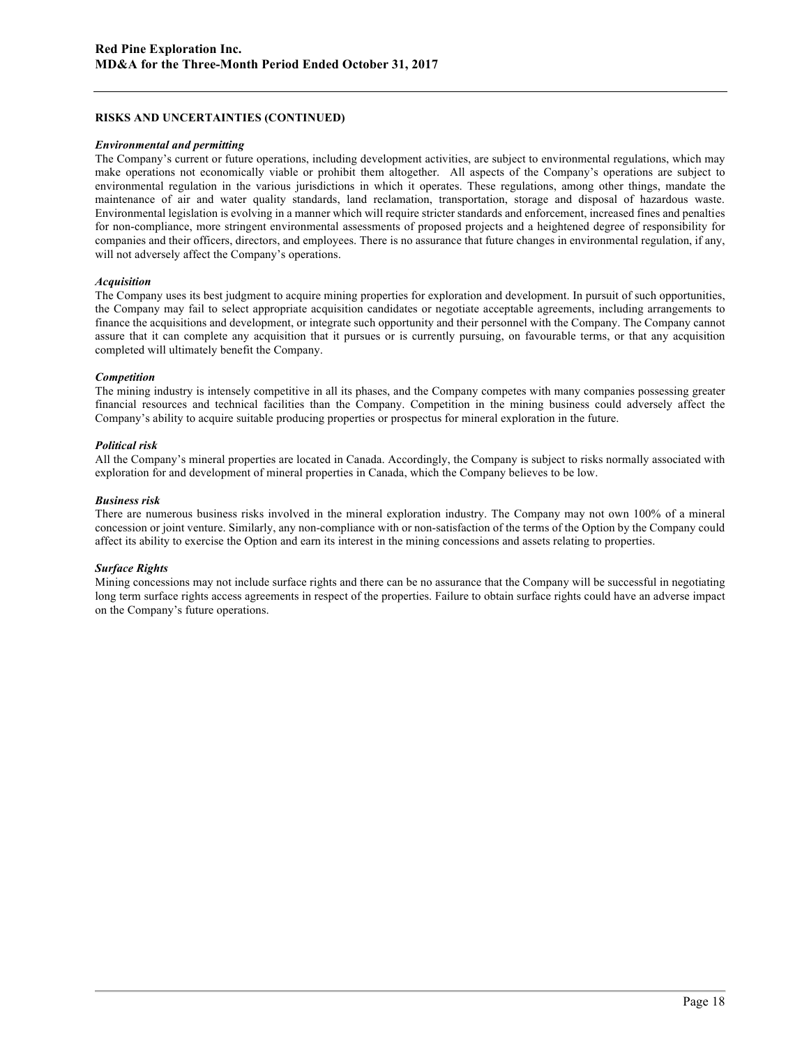### **RISKS AND UNCERTAINTIES (CONTINUED)**

#### *Environmental and permitting*

The Company's current or future operations, including development activities, are subject to environmental regulations, which may make operations not economically viable or prohibit them altogether. All aspects of the Company's operations are subject to environmental regulation in the various jurisdictions in which it operates. These regulations, among other things, mandate the maintenance of air and water quality standards, land reclamation, transportation, storage and disposal of hazardous waste. Environmental legislation is evolving in a manner which will require stricter standards and enforcement, increased fines and penalties for non-compliance, more stringent environmental assessments of proposed projects and a heightened degree of responsibility for companies and their officers, directors, and employees. There is no assurance that future changes in environmental regulation, if any, will not adversely affect the Company's operations.

### *Acquisition*

The Company uses its best judgment to acquire mining properties for exploration and development. In pursuit of such opportunities, the Company may fail to select appropriate acquisition candidates or negotiate acceptable agreements, including arrangements to finance the acquisitions and development, or integrate such opportunity and their personnel with the Company. The Company cannot assure that it can complete any acquisition that it pursues or is currently pursuing, on favourable terms, or that any acquisition completed will ultimately benefit the Company.

### *Competition*

The mining industry is intensely competitive in all its phases, and the Company competes with many companies possessing greater financial resources and technical facilities than the Company. Competition in the mining business could adversely affect the Company's ability to acquire suitable producing properties or prospectus for mineral exploration in the future.

## *Political risk*

All the Company's mineral properties are located in Canada. Accordingly, the Company is subject to risks normally associated with exploration for and development of mineral properties in Canada, which the Company believes to be low.

### *Business risk*

There are numerous business risks involved in the mineral exploration industry. The Company may not own 100% of a mineral concession or joint venture. Similarly, any non-compliance with or non-satisfaction of the terms of the Option by the Company could affect its ability to exercise the Option and earn its interest in the mining concessions and assets relating to properties.

### *Surface Rights*

Mining concessions may not include surface rights and there can be no assurance that the Company will be successful in negotiating long term surface rights access agreements in respect of the properties. Failure to obtain surface rights could have an adverse impact on the Company's future operations.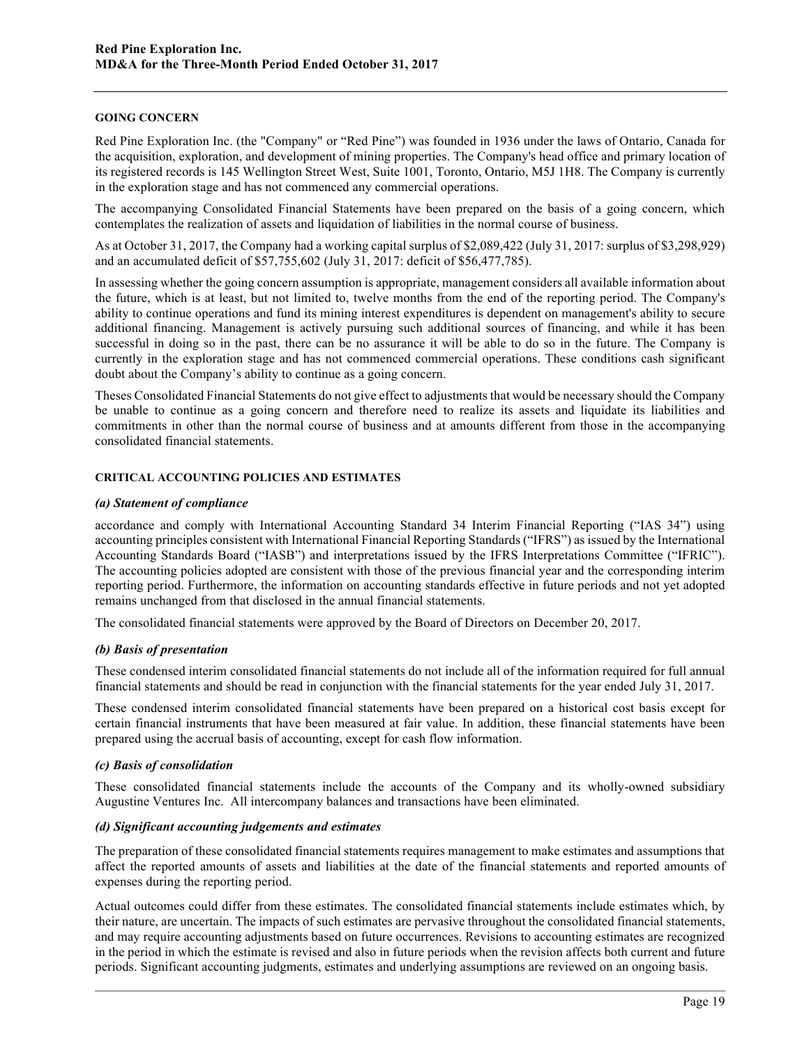## **GOING CONCERN**

Red Pine Exploration Inc. (the "Company" or "Red Pine") was founded in 1936 under the laws of Ontario, Canada for the acquisition, exploration, and development of mining properties. The Company's head office and primary location of its registered records is 145 Wellington Street West, Suite 1001, Toronto, Ontario, M5J 1H8. The Company is currently in the exploration stage and has not commenced any commercial operations.

The accompanying Consolidated Financial Statements have been prepared on the basis of a going concern, which contemplates the realization of assets and liquidation of liabilities in the normal course of business.

As at October 31, 2017, the Company had a working capital surplus of \$2,089,422 (July 31, 2017: surplus of \$3,298,929) and an accumulated deficit of \$57,755,602 (July 31, 2017: deficit of \$56,477,785).

In assessing whether the going concern assumption is appropriate, management considers all available information about the future, which is at least, but not limited to, twelve months from the end of the reporting period. The Company's ability to continue operations and fund its mining interest expenditures is dependent on management's ability to secure additional financing. Management is actively pursuing such additional sources of financing, and while it has been successful in doing so in the past, there can be no assurance it will be able to do so in the future. The Company is currently in the exploration stage and has not commenced commercial operations. These conditions cash significant doubt about the Company's ability to continue as a going concern.

Theses Consolidated Financial Statements do not give effect to adjustments that would be necessary should the Company be unable to continue as a going concern and therefore need to realize its assets and liquidate its liabilities and commitments in other than the normal course of business and at amounts different from those in the accompanying consolidated financial statements.

## **CRITICAL ACCOUNTING POLICIES AND ESTIMATES**

## *(a) Statement of compliance*

accordance and comply with International Accounting Standard 34 Interim Financial Reporting ("IAS 34") using accounting principles consistent with International Financial Reporting Standards ("IFRS") as issued by the International Accounting Standards Board ("IASB") and interpretations issued by the IFRS Interpretations Committee ("IFRIC"). The accounting policies adopted are consistent with those of the previous financial year and the corresponding interim reporting period. Furthermore, the information on accounting standards effective in future periods and not yet adopted remains unchanged from that disclosed in the annual financial statements.

The consolidated financial statements were approved by the Board of Directors on December 20, 2017.

# *(b) Basis of presentation*

These condensed interim consolidated financial statements do not include all of the information required for full annual financial statements and should be read in conjunction with the financial statements for the year ended July 31, 2017.

These condensed interim consolidated financial statements have been prepared on a historical cost basis except for certain financial instruments that have been measured at fair value. In addition, these financial statements have been prepared using the accrual basis of accounting, except for cash flow information.

# *(c) Basis of consolidation*

These consolidated financial statements include the accounts of the Company and its wholly-owned subsidiary Augustine Ventures Inc. All intercompany balances and transactions have been eliminated.

## *(d) Significant accounting judgements and estimates*

The preparation of these consolidated financial statements requires management to make estimates and assumptions that affect the reported amounts of assets and liabilities at the date of the financial statements and reported amounts of expenses during the reporting period.

Actual outcomes could differ from these estimates. The consolidated financial statements include estimates which, by their nature, are uncertain. The impacts of such estimates are pervasive throughout the consolidated financial statements, and may require accounting adjustments based on future occurrences. Revisions to accounting estimates are recognized in the period in which the estimate is revised and also in future periods when the revision affects both current and future periods. Significant accounting judgments, estimates and underlying assumptions are reviewed on an ongoing basis.